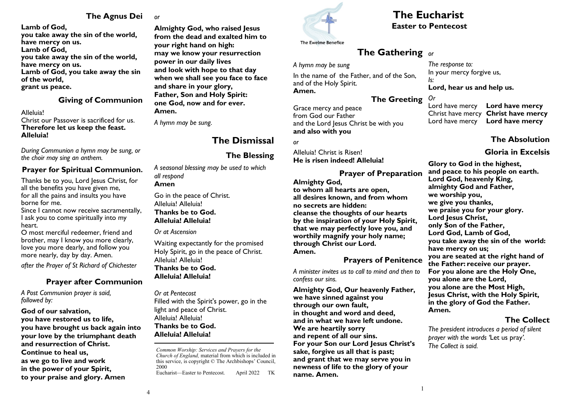## **The Agnus Dei**

**Lamb of God, you take away the sin of the world, have mercy on us. Lamb of God, you take away the sin of the world, have mercy on us. Lamb of God, you take away the sin of the world, grant us peace.**

#### **Giving of Communion**

Alleluia!

Christ our Passover is sacrificed for us. **Therefore let us keep the feast. Alleluia!**

*During Communion a hymn may be sung, or the choir may sing an anthem.*

### **Prayer for Spiritual Communion.**

Thanks be to you, Lord Jesus Christ, for all the benefits you have given me, for all the pains and insults you have borne for me.

Since I cannot now receive sacramentally, I ask you to come spiritually into my heart.

O most merciful redeemer, friend and brother, may I know you more clearly, love you more dearly, and follow you more nearly, day by day. Amen.

*after the Prayer of St Richard of Chichester* 

# **Prayer after Communion**

*A Post Communion prayer is said, followed by:*

**God of our salvation, you have restored us to life, you have brought us back again into your love by the triumphant death and resurrection of Christ. Continue to heal us, as we go to live and work in the power of your Spirit, to your praise and glory. Amen**

*or*

**Almighty God, who raised Jesus from the dead and exalted him to your right hand on high: may we know your resurrection power in our daily lives and look with hope to that day when we shall see you face to face and share in your glory, Father, Son and Holy Spirit: one God, now and for ever. Amen.**

*A hymn may be sung.*

# **The Dismissal**

# **The Blessing**

*A seasonal blessing may be used to which all respond* **Amen**

Go in the peace of Christ. Alleluia! Alleluia! **Thanks be to God. Alleluia! Alleluia!**

#### *Or at Ascension*

Waiting expectantly for the promised Holy Spirit, go in the peace of Christ. Alleluia! Alleluia! **Thanks be to God. Alleluia! Alleluia!**

*Or at Pentecost* Filled with the Spirit's power, go in the light and peace of Christ. Alleluia! Alleluia! **Thanks be to God. Alleluia! Alleluia!**

*Common Worship: Services and Prayers for the Church of England,* material from which is included in this service, is copyright © The Archbishops' Council, 2000 Eucharist—Easter to Pentecost. April 2022 TK



# **The Eucharist Easter to Pentecost**

The Ewelme Benefice

# **The Gathering** *or*

*A hymn may be sung*

In the name of the Father, and of the Son, and of the Holy Spirit. **Amen.**

# **The Greeting**

Grace mercy and peace from God our Father and the Lord Jesus Christ be with you **and also with you**

*or*

Alleluia! Christ is Risen! **He is risen indeed! Alleluia!**

**Prayer of Preparation Almighty God, to whom all hearts are open, all desires known, and from whom no secrets are hidden: cleanse the thoughts of our hearts by the inspiration of your Holy Spirit, that we may perfectly love you, and** 

**worthily magnify your holy name; through Christ our Lord. Amen.**

### **Prayers of Penitence**

*A minister invites us to call to mind and then to confess our sins.*

**Almighty God, Our heavenly Father, we have sinned against you through our own fault, in thought and word and deed, and in what we have left undone. We are heartily sorry and repent of all our sins. For your Son our Lord Jesus Christ's sake, forgive us all that is past; and grant that we may serve you in newness of life to the glory of your name. Amen.**

*The response to:*  In your mercy forgive us, *Is:* **Lord, hear us and help us.**

*Or* Lord have mercy **Lord have mercy** Christ have mercy **Christ have mercy** Lord have mercy **Lord have mercy**

**The Absolution**

**Gloria in Excelsis**

**Glory to God in the highest, and peace to his people on earth. Lord God, heavenly King, almighty God and Father, we worship you, we give you thanks, we praise you for your glory. Lord Jesus Christ, only Son of the Father, Lord God, Lamb of God, you take away the sin of the world: have mercy on us; you are seated at the right hand of the Father: receive our prayer. For you alone are the Holy One, you alone are the Lord, you alone are the Most High, Jesus Christ, with the Holy Spirit, in the glory of God the Father. Amen.**

# **The Collect**

*The president introduces a period of silent prayer with the words '*Let us pray*'. The Collect is said.*

4